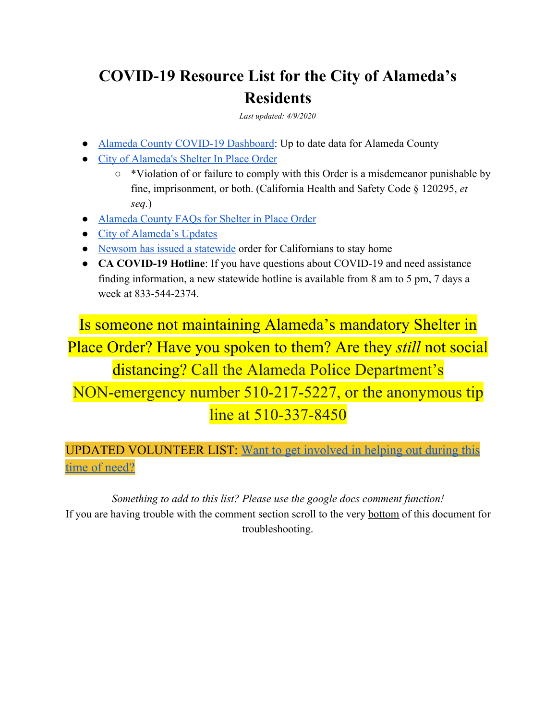# **COVID-19 Resource List for the City of Alameda's Residents**

*Last updated: 4/9/2020*

- [Alameda County COVID-19 Dashboard:](https://ac-hcsa.maps.arcgis.com/apps/opsdashboard/index.html#/0e964821bf1844029c6b72303d7efa00) Up to date data for Alameda County
- [City of Alameda's Shelter In Place Order](http://www.acphd.org/media/563688/health-officer-order-20-04-shelter-in-place-20200331.pdf)
	- \*Violation of or failure to comply with this Order is a misdemeanor punishable by fine, imprisonment, or both. (California Health and Safety Code § 120295, *et seq.*)
- [Alameda County FAQs for Shelter in Place Order](https://covid-19.acgov.org/index.page)
- [City of Alameda's Updates](https://www.alamedaca.gov/RESIDENTS/ALERTS)
- [Newsom has issued a statewide](https://covid19.ca.gov/stay-home-except-for-essential-needs/?fbclid=IwAR1jnQ5bMsH5Yf6B5pcU02HLEK0f5rgtfqA81C3H6pOtVzajN5D0j5DdE1I) order for Californians to stay home
- **CA COVID-19 Hotline**: If you have questions about COVID-19 and need assistance finding information, a new statewide hotline is available from 8 am to 5 pm, 7 days a week at 833-544-2374.

Is someone not maintaining Alameda's mandatory Shelter in Place Order? Have you spoken to them? Are they *still* not social distancing? Call the Alameda Police Department's NON-emergency number 510-217-5227, or the anonymous tip line at 510-337-8450

UPDATED VOLUNTEER LIST: Want to get [involved](https://docs.google.com/document/d/17EY3YQNEb1WCDvv2w3SGVb_G391Pz_9Vc1pFN5-LsBQ/edit?usp=sharing) in helping out during this time of [need?](https://docs.google.com/document/d/17EY3YQNEb1WCDvv2w3SGVb_G391Pz_9Vc1pFN5-LsBQ/edit?usp=sharing)

*Something to add to this list? Please use the google docs comment function!* If you are having trouble with the comment section scroll to the very bottom of this document for troubleshooting.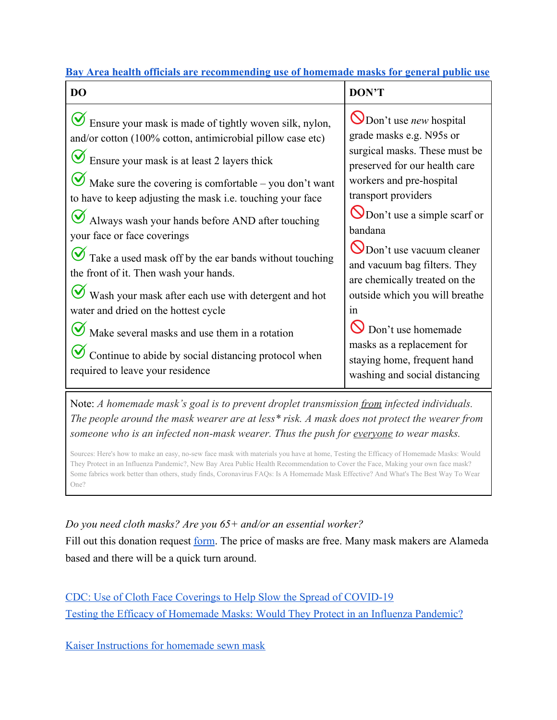| Bay Area health officials are recommending use of homemade masks for general public use |  |  |
|-----------------------------------------------------------------------------------------|--|--|
|                                                                                         |  |  |

| <b>DO</b>                                                                                                                                                                                                                                                                                                                                                                                                                                                                                                                                                                                                                                                                                                                                                                                     | DON'T                                                                                                                                                                                                                                                                                                                                                                                                                                                                                           |
|-----------------------------------------------------------------------------------------------------------------------------------------------------------------------------------------------------------------------------------------------------------------------------------------------------------------------------------------------------------------------------------------------------------------------------------------------------------------------------------------------------------------------------------------------------------------------------------------------------------------------------------------------------------------------------------------------------------------------------------------------------------------------------------------------|-------------------------------------------------------------------------------------------------------------------------------------------------------------------------------------------------------------------------------------------------------------------------------------------------------------------------------------------------------------------------------------------------------------------------------------------------------------------------------------------------|
| $\bigcirc$ Ensure your mask is made of tightly woven silk, nylon,<br>and/or cotton (100% cotton, antimicrobial pillow case etc)<br>$\bigcirc$ Ensure your mask is at least 2 layers thick<br>$\bullet$ Make sure the covering is comfortable – you don't want<br>to have to keep adjusting the mask i.e. touching your face<br>$\bullet$ Always wash your hands before AND after touching<br>your face or face coverings<br>$\bullet$ Take a used mask off by the ear bands without touching<br>the front of it. Then wash your hands.<br>Wash your mask after each use with detergent and hot<br>water and dried on the hottest cycle<br>$\bullet$ Make several masks and use them in a rotation<br>Continue to abide by social distancing protocol when<br>required to leave your residence | $\bigcirc$ Don't use <i>new</i> hospital<br>grade masks e.g. N95s or<br>surgical masks. These must be<br>preserved for our health care<br>workers and pre-hospital<br>transport providers<br>ODon't use a simple scarf or<br>bandana<br>O Don't use vacuum cleaner<br>and vacuum bag filters. They<br>are chemically treated on the<br>outside which you will breathe<br>in<br>Don't use homemade<br>masks as a replacement for<br>staying home, frequent hand<br>washing and social distancing |

Note: *A homemade mask's goal is to prevent droplet transmission from infected individuals. The people around the mask wearer are at less\* risk. A mask does not protect the wearer from someone who is an infected non-mask wearer. Thus the push for everyone to wear masks.*

Sources: Here's how to make an easy, no-sew face mask with [materials](https://komonews.com/news/coronavirus/heres-how-to-make-an-easy-no-sew-face-mask-with-materials-you-have-at-home?fbclid=IwAR1mrsU6ogB022Jxn38d0yMogZDFIGs-OkLBqJmMWhrUUZwuItPUQ9Sw0vA) you have at home, Testing the Efficacy of [Homemade](https://www.researchgate.net/publication/258525804_Testing_the_Efficacy_of_Homemade_Masks_Would_They_Protect_in_an_Influenza_Pandemic?fbclid=IwAR1PMxS-UoMaFio2m1u7533kSagzAY_g3IpLiV8Cq5QTqo7CpNjWX0l1lSQ) Masks: Would They Protect in an Influenza [Pandemic?,](https://www.researchgate.net/publication/258525804_Testing_the_Efficacy_of_Homemade_Masks_Would_They_Protect_in_an_Influenza_Pandemic?fbclid=IwAR1PMxS-UoMaFio2m1u7533kSagzAY_g3IpLiV8Cq5QTqo7CpNjWX0l1lSQ) New Bay Area Public Health [Recommendation](http://www.acphd.org/media/564285/press-release-20200402.pdf?fbclid=IwAR2Yim1bKvlUjeWTYP-mQ8gkl4vNyfHKBw5Bj_3AUqvdCHGHbxxfMfQ9_4U) to Cover the Face, [Making](https://www.nbcnews.com/health/health-news/making-your-own-face-mask-some-fabrics-work-better-others-n1175966?fbclid=IwAR0JMfmSABZwqEFQaU-9q06cYjCvXuCBQgzYYnb6P83kLAG_WwwuDq6TF9Q) your own face mask? Some [fabrics](https://www.nbcnews.com/health/health-news/making-your-own-face-mask-some-fabrics-work-better-others-n1175966?fbclid=IwAR0JMfmSABZwqEFQaU-9q06cYjCvXuCBQgzYYnb6P83kLAG_WwwuDq6TF9Q) work better than others, study finds, [Coronavirus](https://www.npr.org/sections/goatsandsoda/2020/04/03/826996154/coronavirus-faqs-is-a-homemade-mask-effective-and-whats-the-best-way-to-wear-one) FAQs: Is A Homemade Mask Effective? And What's The Best Way To Wear [One?](https://www.npr.org/sections/goatsandsoda/2020/04/03/826996154/coronavirus-faqs-is-a-homemade-mask-effective-and-whats-the-best-way-to-wear-one)

*Do you need cloth masks? Are you 65+ and/or an essential worker?* Fill out this donation request <u>[form](https://docs.google.com/forms/d/e/1FAIpQLSf0tguoElZUanqFfMPbd15lOwu6SQrIUEW6pWQ9IfJVNupNiw/viewform?fbclid=IwAR2pU1Cf_c8ibWktaLIlu8MPjzL1_QAPO9-cQu-qAsQmLRyyDiwSRCTZZjE)</u>. The price of masks are free. Many mask makers are Alameda based and there will be a quick turn around.

[CDC: Use of Cloth Face Coverings to Help Slow the Spread of COVID-19](https://www.cdc.gov/coronavirus/2019-ncov/prevent-getting-sick/diy-cloth-face-coverings.html?fbclid=IwAR0EXAUjZ1qpWdx5efZmbEQpUrMUZ-Cnz3wUjWycPVxDFhBvRDPpX6pqQU8) [Testing the Efficacy of Homemade Masks: Would They Protect in an Influenza Pandemic?](https://www.researchgate.net/publication/258525804_Testing_the_Efficacy_of_Homemade_Masks_Would_They_Protect_in_an_Influenza_Pandemic)

[Kaiser Instructions for homemade sewn mask](https://about.kaiserpermanente.org/content/dam/internet/kp/comms/import/uploads/2020/03/02_COVID_Mask-Instructions_v9.pdf)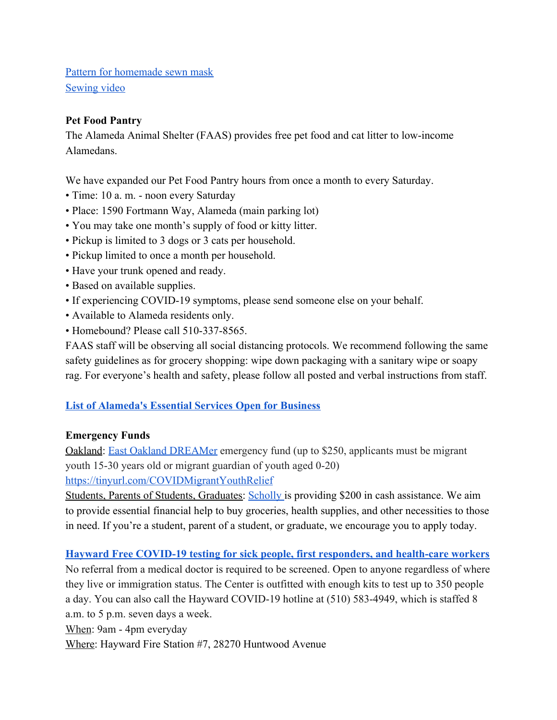[Pattern for homemade sewn mask](https://www.craftpassion.com/face-mask-sewing-pattern/#face-mask-pattern) [Sewing video](https://www.youtube.com/watch?v=KiwdPFqNNY0&feature=youtu.be&fbclid=IwAR0iT0Zh60zAe71TnGjA4wzgTVE2Z2-Sj4Kl2wWyqBumLnyxRsv5XKWIjPo)

## **Pet Food Pantry**

The Alameda Animal Shelter (FAAS) provides free pet food and cat litter to low-income Alamedans.

We have expanded our Pet Food Pantry hours from once a month to every Saturday.

- Time: 10 a. m. noon every Saturday
- Place: 1590 Fortmann Way, Alameda (main parking lot)
- You may take one month's supply of food or kitty litter.
- Pickup is limited to 3 dogs or 3 cats per household.
- Pickup limited to once a month per household.
- Have your trunk opened and ready.
- Based on available supplies.
- If experiencing COVID-19 symptoms, please send someone else on your behalf.
- Available to Alameda residents only.
- Homebound? Please call 510-337-8565.

FAAS staff will be observing all social distancing protocols. We recommend following the same safety guidelines as for grocery shopping: wipe down packaging with a sanitary wipe or soapy rag. For everyone's health and safety, please follow all posted and verbal instructions from staff.

#### **[List of Alameda's Essential Services Open for Business](https://www.alamedaca.gov/ALERTS-COVID-19/Essential-Services-Open-for-Business?fbclid=IwAR2zfirNbFfwyLrV2gPsG1FCUi4hX1eNz5UEjag2xOYde_YNKdWrJFNlcXI)**

#### **Emergency Funds**

Oakland: [East Oakland DREAMer](https://eastoaklanddreamers.org/) emergency fund (up to \$250, applicants must be migrant youth 15-30 years old or migrant guardian of youth aged 0-20)

<https://tinyurl.com/COVIDMigrantYouthRelief>

Students, Parents of Students, Graduates: [Scholly i](http://myscholly.com/relief/?utm_source=drip&utm_medium=email&utm_campaign=covid&utm_content=announcement&fbclid=IwAR3Buh91eOSyKFfAP66SbFpPtOU361qZove26pXHNPMrV5WMI1GWwRpaY_g)s providing \$200 in cash assistance. We aim to provide essential financial help to buy groceries, health supplies, and other necessities to those in need. If you're a student, parent of a student, or graduate, we encourage you to apply today.

**[Hayward Free COVID-19 testing for sick people, first responders, and health-care workers](https://www.hayward-ca.gov/sites/default/files/press-releases/200322-Testing-Center-Final.pdf)**

No referral from a medical doctor is required to be screened. Open to anyone regardless of where they live or immigration status. The Center is outfitted with enough kits to test up to 350 people a day. You can also call the Hayward COVID-19 hotline at (510) 583-4949, which is staffed 8 a.m. to 5 p.m. seven days a week.

When: 9am - 4pm everyday

Where: [Hayward Fire Station #7, 28270 Huntwood Avenue](https://goo.gl/maps/LXTT4c2vc3QxbhcU8)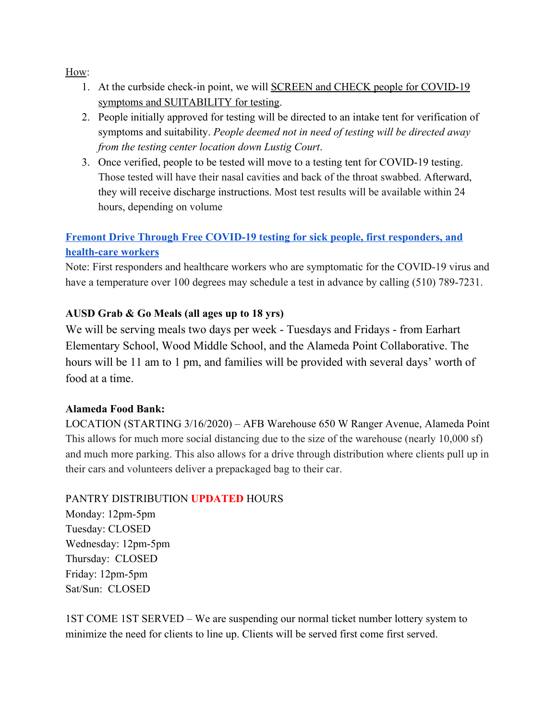How:

- 1. At the curbside check-in point, we will SCREEN and CHECK people for COVID-19 symptoms and SUITABILITY for testing.
- 2. People initially approved for testing will be directed to an intake tent for verification of symptoms and suitability. *People deemed not in need of testing will be directed away from the testing center location down Lustig Court*.
- 3. Once verified, people to be tested will move to a testing tent for COVID-19 testing. Those tested will have their nasal cavities and back of the throat swabbed. Afterward, they will receive discharge instructions. Most test results will be available within 24 hours, depending on volume

# **[Fremont Drive Through Free COVID-19 testing for sick people, first responders, and](http://www.fremont.gov/CivicAlerts.aspx?AID=1743) [health-care workers](http://www.fremont.gov/CivicAlerts.aspx?AID=1743)**

Note: First responders and healthcare workers who are symptomatic for the COVID-19 virus and have a temperature over 100 degrees may schedule a test in advance by calling (510) 789-7231.

## **AUSD Grab & Go Meals (all ages up to 18 yrs)**

We will be serving meals two days per week - Tuesdays and Fridays - from Earhart Elementary School, Wood Middle School, and the Alameda Point Collaborative. The hours will be 11 am to 1 pm, and families will be provided with several days' worth of food at a time.

## **Alameda Food Bank:**

LOCATION (STARTING 3/16/2020) – AFB Warehouse 650 W Ranger Avenue, Alameda Point This allows for much more social distancing due to the size of the warehouse (nearly 10,000 sf) and much more parking. This also allows for a drive through distribution where clients pull up in their cars and volunteers deliver a prepackaged bag to their car.

## PANTRY DISTRIBUTION **UPDATED** HOURS

Monday: 12pm-5pm Tuesday: CLOSED Wednesday: 12pm-5pm Thursday: CLOSED Friday: 12pm-5pm Sat/Sun: CLOSED

1ST COME 1ST SERVED – We are suspending our normal ticket number lottery system to minimize the need for clients to line up. Clients will be served first come first served.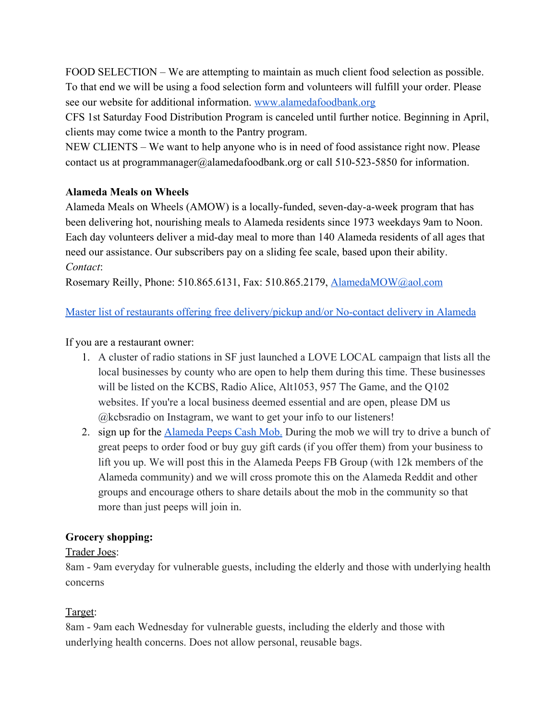FOOD SELECTION – We are attempting to maintain as much client food selection as possible. To that end we will be using a food selection form and volunteers will fulfill your order. Please see our website for additional information. [www.alamedafoodbank.org](https://l.facebook.com/l.php?u=http%3A%2F%2Fwww.alamedafoodbank.org%2F%3Ffbclid%3DIwAR2q2nOutVhP3jyvEQrMDQVzAjyjco9jJEXTsfTVJFOiHc-LL3PapfbzrAw&h=AT1QrIzuXzQha2XHoWaS_t_jdPBYWIrtzU0WjoC2XFr1S9qoxMaXvmb8xEU4KprqT_S_8SCTUI-lTNicE26Rk5NzJNKYd-aXdPhkhMx0zVIUnOiKHOBSLQIoe6QAPfbkILQCCmvhmUdq7wxek5IvPOmEUg7AU6mKNy_He91FtpMGQfsC0rtJs2J5MXA78B3OElJKMrPms-d96lTaA2GVv7Xt7gErFu5eFDBC6Ktn1f8WhpgFg7OONHO-Ty5q57fFXBUijw2UrNuoR-xqKoRs38PJvhFEyQTAfDivqOZlUEYyRgsAjx4DZFW-2bHaHusG9SgV79mB2klxUsiKCC-nrbcSGFUc9ajrz1oz26vfVUjUTtzicege443yX94hWKHm8EkRyednzYeHvc4WdMgTQ3PUWOr9PO71-ZxSwRTWT_VT-BmRxTfLY9UGIpM11W7vpHHknxOzijp0QMmrRHU5XO4BBVFcEHOGHIhMEMPTDnQ_1KlzlZ4HG_SJb3GjOme_rKTGxyreHi9Kt-afCNKa8S1Rf2L5lK6f1hpc3X_6VzLC13CxYoPvU5Ww_UAQIkZaOeeqDKjQAq92X_05BCD-wr0SrlsoHZlTTedv9Y2UEhv3IsvLxzvKcwPAnvnLg1XaPUmtPhtqQyt5Nc60HSjCPF4hOA)

CFS 1st Saturday Food Distribution Program is canceled until further notice. Beginning in April, clients may come twice a month to the Pantry program.

NEW CLIENTS – We want to help anyone who is in need of food assistance right now. Please contact us at programmanager@alamedafoodbank.org or call 510-523-5850 for information.

## **Alameda Meals on Wheels**

Alameda Meals on Wheels (AMOW) is a locally-funded, seven-day-a-week program that has been delivering hot, nourishing meals to Alameda residents since 1973 weekdays 9am to Noon. Each day volunteers deliver a mid-day meal to more than 140 Alameda residents of all ages that need our assistance. Our subscribers pay on a sliding fee scale, based upon their ability. *Contact*:

Rosemary Reilly, Phone: 510.865.6131, Fax: 510.865.2179, [AlamedaMOW@aol.com](mailto:AlamedaMOW@aol.com)

## [Master list of restaurants offering free delivery/pickup and/or No-contact delivery in Alameda](https://www.alamedaca.gov/ALERTS-COVID-19/Restaurants-Open-for-Business)

If you are a restaurant owner:

- 1. A cluster of radio stations in SF just launched a LOVE LOCAL campaign that lists all the local businesses by county who are open to help them during this time. These businesses will be listed on the KCBS, Radio Alice, Alt1053, 957 The Game, and the Q102 websites. If you're a local business deemed essential and are open, please DM us @kcbsradio on Instagram, we want to get your info to our listeners!
- 2. sign up for the **[Alameda Peeps Cash Mob.](https://docs.google.com/forms/d/e/1FAIpQLSddpzzlenO_-hOnRfEHimHXxaSsR6UGEa4H365jPgJyZedW2g/viewform?fbclid=IwAR1dfoT-EtUMcMeGIyrFmSlyvxEaBbkfF-_V8_S0gEtD0X5nqXKtTZf_O6o)** During the mob we will try to drive a bunch of great peeps to order food or buy guy gift cards (if you offer them) from your business to lift you up. We will post this in the Alameda Peeps FB Group (with 12k members of the Alameda community) and we will cross promote this on the Alameda Reddit and other groups and encourage others to share details about the mob in the community so that more than just peeps will join in.

## **Grocery shopping:**

## Trader Joes:

8am - 9am everyday for vulnerable guests, including the elderly and those with underlying health concerns

## Target:

8am - 9am each Wednesday for vulnerable guests, including the elderly and those with underlying health concerns. Does not allow personal, reusable bags.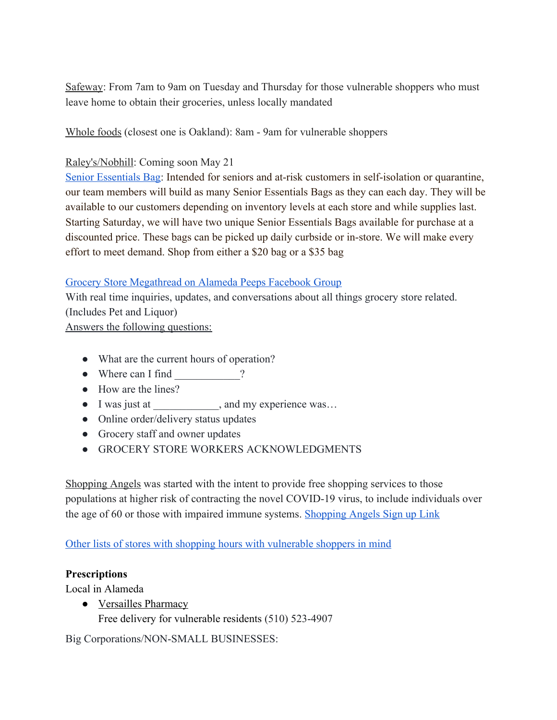Safeway: From 7am to 9am on Tuesday and Thursday for those vulnerable shoppers who must leave home to obtain their groceries, unless locally mandated

Whole foods (closest one is Oakland): 8am - 9am for vulnerable shoppers

## Raley's/Nobhill: Coming soon May 21

[Senior Essentials Bag:](https://www.raleys.com/senior-essentials-bag/?fbclid=IwAR0Fr0oaWahZ1F2THsGIag3NIvMKKj2c-aawxzxefrMCkDOlTYerono0ow4) Intended for seniors and at-risk customers in self-isolation or quarantine, our team members will build as many Senior Essentials Bags as they can each day. They will be available to our customers depending on inventory levels at each store and while supplies last. Starting Saturday, we will have two unique Senior Essentials Bags available for purchase at a discounted price. These bags can be picked up daily curbside or in-store. We will make every effort to meet demand. Shop from either a \$20 bag or a \$35 bag

## [Grocery Store Megathread on Alameda Peeps Facebook Group](https://www.facebook.com/groups/alamedapeeps/permalink/2889474487777447/)

With real time inquiries, updates, and conversations about all things grocery store related. (Includes Pet and Liquor)

Answers the following questions:

- What are the current hours of operation?
- Where can I find  $\gamma$
- How are the lines?
- I was just at \_\_\_\_\_\_\_\_\_\_\_\_, and my experience was…
- Online order/delivery status updates
- Grocery staff and owner updates
- GROCERY STORE WORKERS ACKNOWLEDGMENTS

Shopping Angels was started with the intent to provide free shopping services to those populations at higher risk of contracting the novel COVID-19 virus, to include individuals over the age of 60 or those with impaired immune systems. [Shopping Angels Sign up Link](https://shoppingangels.formstack.com/forms/shoppingangels?fbclid=IwAR0fpAhpV9-iJpYSUxCrwwrgFl4SkYuekURB8VSPZ77dgZXALpSOD9rhdTc)

[Other lists of stores with shopping hours with vulnerable shoppers in mind](https://sf.funcheap.com/city-guide/grocery-store-senior-hour/)

#### **Prescriptions**

Local in Alameda

● Versailles Pharmacy

Free delivery for vulnerable residents (510) 523-4907

Big Corporations/NON-SMALL BUSINESSES: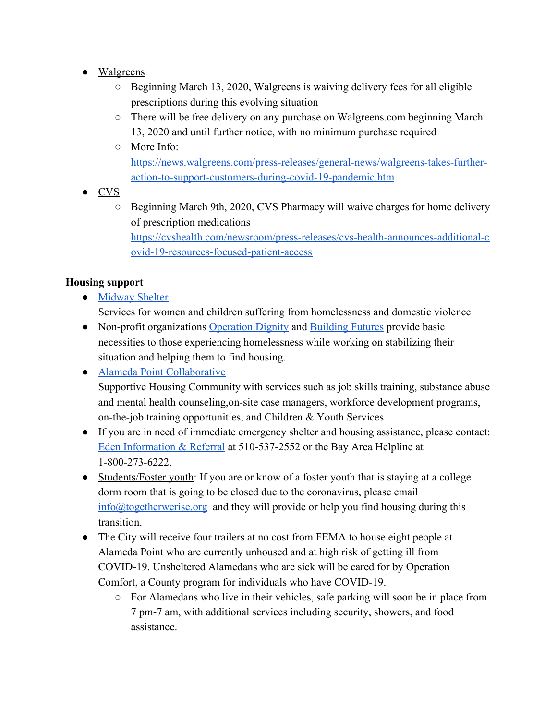- Walgreens
	- Beginning March 13, 2020, Walgreens is waiving delivery fees for all eligible prescriptions during this evolving situation
	- There will be free delivery on any purchase on Walgreens.com beginning March 13, 2020 and until further notice, with no minimum purchase required
	- More Info:

[https://news.walgreens.com/press-releases/general-news/walgreens-takes-further](https://news.walgreens.com/press-releases/general-news/walgreens-takes-further-action-to-support-customers-during-covid-19-pandemic.htm)[action-to-support-customers-during-covid-19-pandemic.htm](https://news.walgreens.com/press-releases/general-news/walgreens-takes-further-action-to-support-customers-during-covid-19-pandemic.htm)

- CVS
	- Beginning March 9th, 2020, CVS Pharmacy will waive charges for home delivery of prescription medications

[https://cvshealth.com/newsroom/press-releases/cvs-health-announces-additional-c](https://cvshealth.com/newsroom/press-releases/cvs-health-announces-additional-covid-19-resources-focused-patient-access) [ovid-19-resources-focused-patient-access](https://cvshealth.com/newsroom/press-releases/cvs-health-announces-additional-covid-19-resources-focused-patient-access)

## **Housing support**

● [Midway Shelter](http://www.midwayshelter.org/)

Services for women and children suffering from homelessness and domestic violence

• Non-profit organizations [Operation Dignity](https://operationdignity.org/our-programs/mobile-street-outreach/) and [Building Futures](http://www.bfwc.org/index.php) provide basic necessities to those experiencing homelessness while working on stabilizing their situation and helping them to find housing.

● [Alameda Point Collaborative](https://apcollaborative.org/) Supportive Housing Community with services such as job skills training, substance abuse and mental health counseling,on-site case managers, workforce development programs, on-the-job training opportunities, and Children & Youth Services

- If you are in need of immediate emergency shelter and housing assistance, please contact: [Eden Information & Referral](http://www.edenir.org/) at 510-537-2552 or the Bay Area Helpline at 1-800-273-6222.
- Students/Foster youth: If you are or know of a foster youth that is staying at a college dorm room that is going to be closed due to the coronavirus, please email info@togetherwerise.org and they will provide or help you find housing during this transition.
- The City will receive four trailers at no cost from FEMA to house eight people at Alameda Point who are currently unhoused and at high risk of getting ill from COVID-19. Unsheltered Alamedans who are sick will be cared for by Operation Comfort, a County program for individuals who have COVID-19.
	- For Alamedans who live in their vehicles, safe parking will soon be in place from 7 pm-7 am, with additional services including security, showers, and food assistance.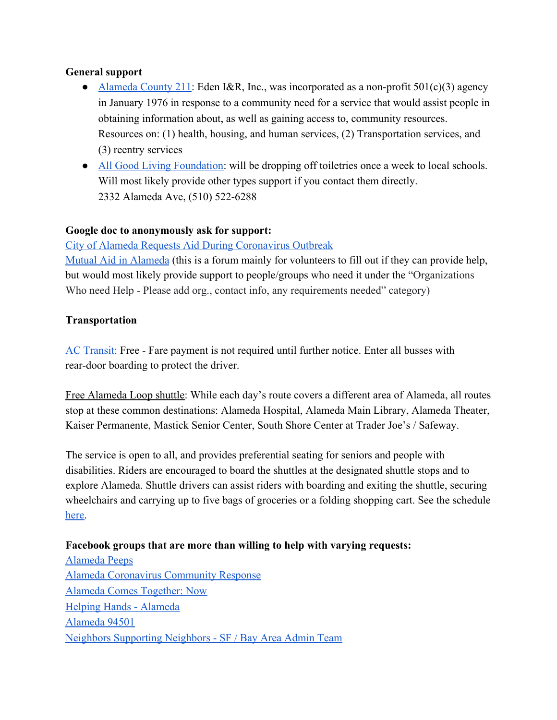#### **General support**

- [Alameda County 211:](http://211alamedacounty.org/) Eden I&R, Inc., was incorporated as a non-profit 501(c)(3) agency in January 1976 in response to a community need for a service that would assist people in obtaining information about, as well as gaining access to, community resources. Resources on: (1) health, housing, and human services, (2) Transportation services, and (3) reentry services
- [All Good Living Foundation:](https://gail-kahele.squarespace.com/mission-index-impact) will be dropping off toiletries once a week to local schools. Will most likely provide other types support if you contact them directly. 2332 Alameda Ave, (510) 522-6288

#### **Google doc to anonymously ask for support:**

#### [City of Alameda Requests Aid During Coronavirus Outbreak](https://docs.google.com/forms/d/e/1FAIpQLScLTrifU0put7SvzyCBVxeEGPZshDQxYcr2f4MG_5U_pd2HUw/viewform)

[Mutual Aid in Alameda](https://docs.google.com/forms/d/e/1FAIpQLSfIIbH330SbBR2uDElZYq8t7ZHTymqG_rOLfOG9W10THxydqg/viewform?fbclid=IwAR1kZ6HN8z2ZP1Qdv2yAiXs491fFlQ92mDIeKoomu1VJ5K7CMSPRzjpJC4M) (this is a forum mainly for volunteers to fill out if they can provide help, but would most likely provide support to people/groups who need it under the "Organizations Who need Help - Please add org., contact info, any requirements needed" category)

#### **Transportation**

[AC Transit:](http://www.actransit.org/2020/03/22/service-update-rear-door-boarding-and-no-fare-period-effective-monday-march-23-2020/) Free - Fare payment is not required until further notice. Enter all busses with rear-door boarding to protect the driver.

Free Alameda Loop shuttle: While each day's route covers a different area of Alameda, all routes stop at these common destinations: Alameda Hospital, Alameda Main Library, Alameda Theater, Kaiser Permanente, Mastick Senior Center, South Shore Center at Trader Joe's / Safeway.

The service is open to all, and provides preferential seating for seniors and people with disabilities. Riders are encouraged to board the shuttles at the designated shuttle stops and to explore Alameda. Shuttle drivers can assist riders with boarding and exiting the shuttle, securing wheelchairs and carrying up to five bags of groceries or a folding shopping cart. See the schedule [here.](https://www.alamedaca.gov/Departments/Planning-Building-and-Transportation/Transportation/Alameda-Loop-Shuttle)

#### **Facebook groups that are more than willing to help with varying requests:**

[Alameda Peeps](https://www.facebook.com/groups/alamedapeeps/) [Alameda Coronavirus Community Response](https://www.facebook.com/groups/663365821142336/) [Alameda Comes Together: Now](https://www.facebook.com/groups/AlamedaTogether/) [Helping Hands - Alameda](https://www.facebook.com/groups/2673650126077818/) [Alameda 94501](https://www.facebook.com/groups/101806880744/) [Neighbors Supporting Neighbors - SF / Bay Area Admin Team](https://www.facebook.com/neighborssfbayarea/)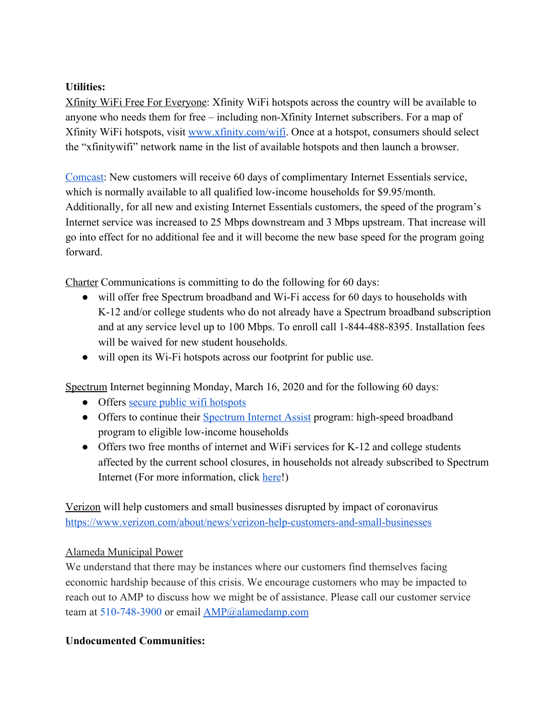#### **Utilities:**

Xfinity WiFi Free For Everyone: Xfinity WiFi hotspots across the country will be available to anyone who needs them for free – including non-Xfinity Internet subscribers. For a map of Xfinity WiFi hotspots, visit [www.xfinity.com/wifi](http://www.xfinity.com/wifi). Once at a hotspot, consumers should select the "xfinitywifi" network name in the list of available hotspots and then launch a browser.

[Comcast:](https://corporate.comcast.com/covid-19) New customers will receive 60 days of complimentary Internet Essentials service, which is normally available to all qualified low-income households for \$9.95/month. Additionally, for all new and existing Internet Essentials customers, the speed of the program's Internet service was increased to 25 Mbps downstream and 3 Mbps upstream. That increase will go into effect for no additional fee and it will become the new base speed for the program going forward.

Charter Communications is committing to do the following for 60 days:

- will offer free Spectrum broadband and Wi-Fi access for 60 days to households with K-12 and/or college students who do not already have a Spectrum broadband subscription and at any service level up to 100 Mbps. To enroll call 1-844-488-8395. Installation fees will be waived for new student households.
- will open its Wi-Fi hotspots across our footprint for public use.

Spectrum Internet beginning Monday, March 16, 2020 and for the following 60 days:

- Offers [secure public wifi hotspots](https://www.spectrum.net/support/internet/spectrum-wifi)
- Offers to continue their [Spectrum Internet Assist](https://nam04.safelinks.protection.outlook.com/?url=https%3A%2F%2Fwww.spectrum.com%2Fbrowse%2Fcontent%2Fspectrum-internet-assist.html&data=01%7C01%7CCastro_Christina%40lacoe.edu%7C9c99d67988d94bb0038e08d7ca8cd7fb%7C9a85f50685664ae19bd3b3fba8220f09%7C0&sdata=ElZjv3Qgs%2FoUU69XcHEIbGM6RBC4fzwcZj0yCXfopEM%3D&reserved=0) program: high-speed broadband program to eligible low-income households
- Offers two free months of internet and WiFi services for K-12 and college students affected by the current school closures, in households not already subscribed to Spectrum Internet (For more information, click [here](https://www.spectrum.net/support/internet/coronavirus-covid-19-information-spectrum-customers)!)

Verizon will help customers and small businesses disrupted by impact of coronavirus <https://www.verizon.com/about/news/verizon-help-customers-and-small-businesses>

## Alameda Municipal Power

We understand that there may be instances where our customers find themselves facing economic hardship because of this crisis. We encourage customers who may be impacted to reach out to AMP to discuss how we might be of assistance. Please call our customer service team at 510-748-3900 or email [AMP@alamedamp.com](mailto:AMP@alamedamp.com)

## **Undocumented Communities:**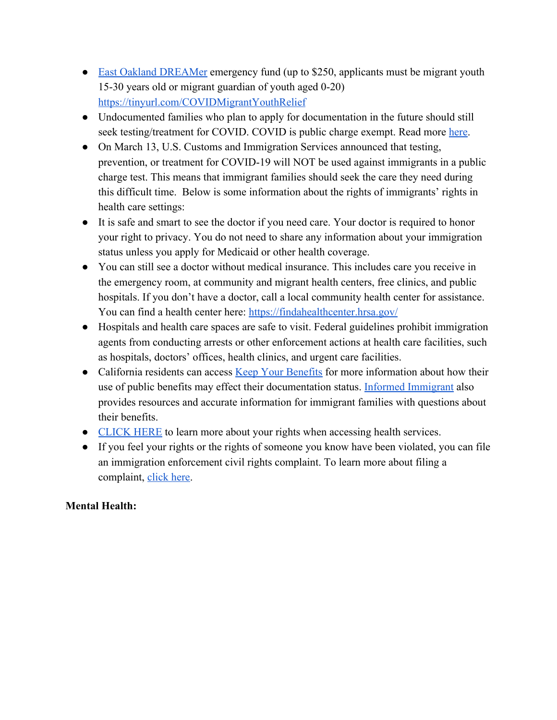- [East Oakland DREAMer](https://eastoaklanddreamers.org/) emergency fund (up to \$250, applicants must be migrant youth 15-30 years old or migrant guardian of youth aged 0-20) <https://tinyurl.com/COVIDMigrantYouthRelief>
- Undocumented families who plan to apply for documentation in the future should still seek testing/treatment for COVID. COVID is public charge exempt. Read more [here](http://www.uscis.gov/greencard/public-charge).
- On March 13, U.S. Customs and Immigration Services announced that testing, prevention, or treatment for COVID-19 will NOT be used against immigrants in a public charge test. This means that immigrant families should seek the care they need during this difficult time. Below is some information about the rights of immigrants' rights in health care settings:
- It is safe and smart to see the doctor if you need care. Your doctor is required to honor your right to privacy. You do not need to share any information about your immigration status unless you apply for Medicaid or other health coverage.
- You can still see a doctor without medical insurance. This includes care you receive in the emergency room, at community and migrant health centers, free clinics, and public hospitals. If you don't have a doctor, call a local community health center for assistance. You can find a health center here: <https://findahealthcenter.hrsa.gov/>
- Hospitals and health care spaces are safe to visit. Federal guidelines prohibit immigration agents from conducting arrests or other enforcement actions at health care facilities, such as hospitals, doctors' offices, health clinics, and urgent care facilities.
- California residents can access [Keep Your Benefits](https://protectingimmigrantfamilies.org/wp-content/uploads/2020/02/Public-Charge-Does-This-Apply-To-Me-February-2020-ENGLISH.pdf) for more information about how their use of public benefits may effect their documentation status. [Informed Immigrant](https://www.informedimmigrant.com/) also provides resources and accurate information for immigrant families with questions about their benefits.
- [CLICK HERE](https://protectingimmigrantfamilies.org/wp-content/uploads/2020/02/You-Have-Rights-Protect-Your-Health-Updated-February-2020-ENGLISH.pdf) to learn more about your rights when accessing health services.
- If you feel your rights or the rights of someone you know have been violated, you can file an immigration enforcement civil rights complaint. To learn more about filing a complaint, [click here.](https://www.nilc.org/issues/education/complaint-form-violations-of-sensitive-locations-policy-school/)

## **Mental Health:**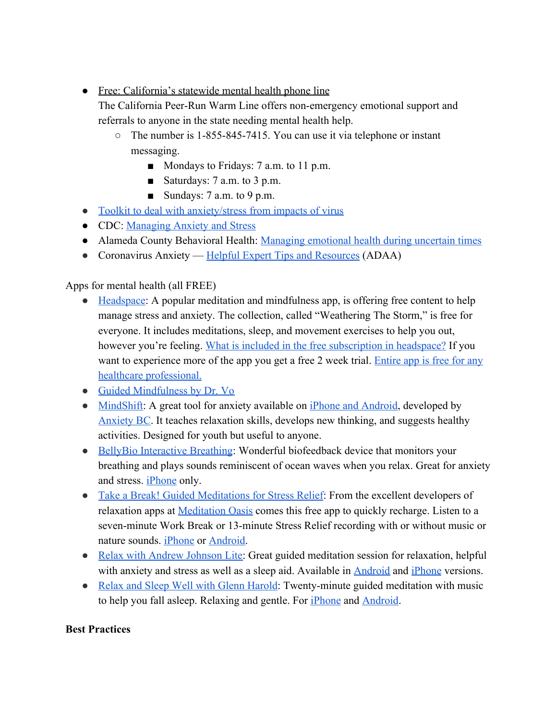● Free: California's statewide mental health phone line

The California Peer-Run Warm Line offers non-emergency emotional support and referrals to anyone in the state needing mental health help.

- The number is 1-855-845-7415. You can use it via telephone or instant messaging.
	- Mondays to Fridays: 7 a.m. to 11 p.m.
	- Saturdays: 7 a.m. to 3 p.m.
	- $\blacksquare$  Sundays: 7 a.m. to 9 p.m.
- [Toolkit to deal with anxiety/stress from impacts of virus](https://www.virusanxiety.com/?fbclid=IwAR2-eY5Qxc_4bGDF9ENgBkjOcOWk4bD6w_wSxcSSosrvpX0m53woZmgLcH4)
- CDC: [Managing Anxiety and Stress](https://www.cdc.gov/coronavirus/2019-ncov/prepare/managing-stress-anxiety.html)
- Alameda County Behavioral Health: [Managing emotional health during uncertain times](http://www.acphd.org/media/558462/covid19-managing-emotional-health-20200306.pdf)
- Coronavirus Anxiety [Helpful Expert Tips and Resources](https://adaa.org/finding-help/coronavirus-anxiety-helpful-resources) (ADAA)

Apps for mental health (all FREE)

- [Headspace:](https://help.headspace.com/hc/en-us/articles/115008040287-What-is-Headspace-) A popular meditation and mindfulness app, is offering free content to help manage stress and anxiety. The collection, called "Weathering The Storm," is free for everyone. It includes meditations, sleep, and movement exercises to help you out, however you're feeling. [What is included in the free subscription in headspace?](https://help.headspace.com/hc/en-us/articles/115008192928-What-s-included-for-free-) If you want to experience more of the app you get a free 2 week trial. [Entire app is free for any](https://www.headspace.com/health-covid-19) [healthcare professional.](https://www.headspace.com/health-covid-19)
- [Guided Mindfulness by Dr. Vo](https://keltymentalhealth.ca/collection/5665a87c-e2c6-437f-b1f8-54bb7f75efd0)
- [MindShift:](http://www.anxietybc.com/mobile-app) A great tool for anxiety available on [iPhone and Android](http://www.anxietybc.com/mobile-app), developed by [Anxiety BC.](http://www.anxietybc.com/) It teaches relaxation skills, develops new thinking, and suggests healthy activities. Designed for youth but useful to anyone.
- [BellyBio Interactive Breathing:](https://itunes.apple.com/us/app/bellybio-interactive-breathing/id353763955?mt=8) Wonderful biofeedback device that monitors your breathing and plays sounds reminiscent of ocean waves when you relax. Great for anxiety and stress. [iPhone](https://itunes.apple.com/us/app/bellybio-interactive-breathing/id353763955?mt=8) only.
- [Take a Break! Guided Meditations for Stress Relief:](https://itunes.apple.com/us/app/take-break!-guided-meditations/id453857236?mt=8) From the excellent developers of relaxation apps at [Meditation Oasis](http://www.meditationoasis.com/) comes this free app to quickly recharge. Listen to a seven-minute Work Break or 13-minute Stress Relief recording with or without music or nature sounds. [iPhone](https://itunes.apple.com/us/app/take-break!-guided-meditations/id453857236?mt=8) or [Android.](https://play.google.com/store/apps/details?id=com.meditationoasis.takeabreak&feature=search_result#?t=W251bGwsMSwxLDEsImNvbS5tZWRpdGF0aW9ub2FzaXMudGFrZWFicmVhayJd)
- [Relax with Andrew Johnson Lite:](https://itunes.apple.com/ca/app/relax-andrew-johnson-lite/id307750844?mt=8) Great guided meditation session for relaxation, helpful with anxiety and stress as well as a sleep aid. Available in [Android](https://play.google.com/store/apps/details?id=com.hivebrain.andrewjohnson.relaxlite&hl=en) and *iPhone versions*.
- [Relax and Sleep Well with Glenn Harold](https://itunes.apple.com/ca/app/relax-sleep-well-by-glenn/id412690467?mt=8): Twenty-minute guided meditation with music to help you fall asleep. Relaxing and gentle. For [iPhone](https://itunes.apple.com/ca/app/relax-sleep-well-by-glenn/id412690467?mt=8) and [Android](https://play.google.com/store/apps/details?id=com.imobilize.relaxsleepwell&hl=en).

## **Best Practices**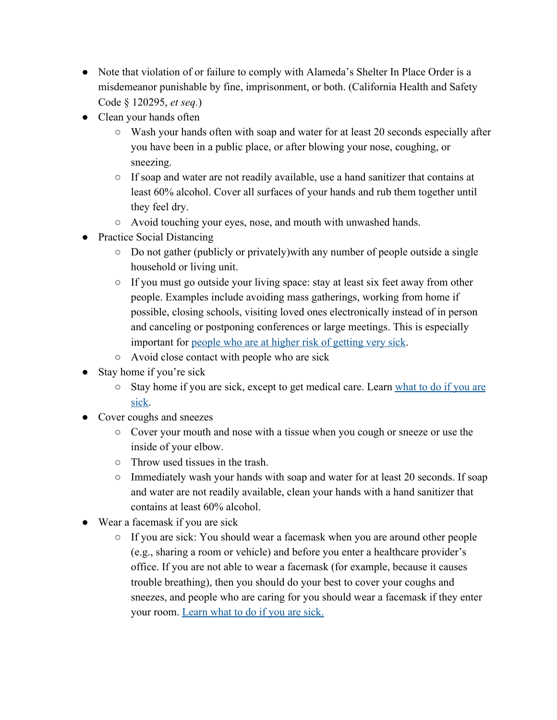- Note that violation of or failure to comply with Alameda's Shelter In Place Order is a misdemeanor punishable by fine, imprisonment, or both. (California Health and Safety Code § 120295, *et seq.*)
- Clean your hands often
	- $\circ$  Wash your hands often with soap and water for at least 20 seconds especially after you have been in a public place, or after blowing your nose, coughing, or sneezing.
	- $\circ$  If soap and water are not readily available, use a hand sanitizer that contains at least 60% alcohol. Cover all surfaces of your hands and rub them together until they feel dry.
	- Avoid touching your eyes, nose, and mouth with unwashed hands.
- Practice Social Distancing
	- Do not gather (publicly or privately)with any number of people outside a single household or living unit.
	- If you must go outside your living space: stay at least six feet away from other people. Examples include avoiding mass gatherings, working from home if possible, closing schools, visiting loved ones electronically instead of in person and canceling or postponing conferences or large meetings. This is especially important for [people who are at higher risk of getting very sick](https://www.cdc.gov/coronavirus/2019-ncov/specific-groups/high-risk-complications.html).
	- Avoid close contact with people who are sick
- Stay home if you're sick
	- Stay home if you are sick, except to get medical care. Learn [what to do if you are](https://www.cdc.gov/coronavirus/2019-ncov/if-you-are-sick/steps-when-sick.html) [sick.](https://www.cdc.gov/coronavirus/2019-ncov/if-you-are-sick/steps-when-sick.html)
- Cover coughs and sneezes
	- Cover your mouth and nose with a tissue when you cough or sneeze or use the inside of your elbow.
	- Throw used tissues in the trash.
	- Immediately wash your hands with soap and water for at least 20 seconds. If soap and water are not readily available, clean your hands with a hand sanitizer that contains at least 60% alcohol.
- Wear a facemask if you are sick
	- If you are sick: You should wear a facemask when you are around other people (e.g., sharing a room or vehicle) and before you enter a healthcare provider's office. If you are not able to wear a facemask (for example, because it causes trouble breathing), then you should do your best to cover your coughs and sneezes, and people who are caring for you should wear a facemask if they enter your room. [Learn what to do if you are sick.](https://www.cdc.gov/coronavirus/2019-ncov/if-you-are-sick/steps-when-sick.html)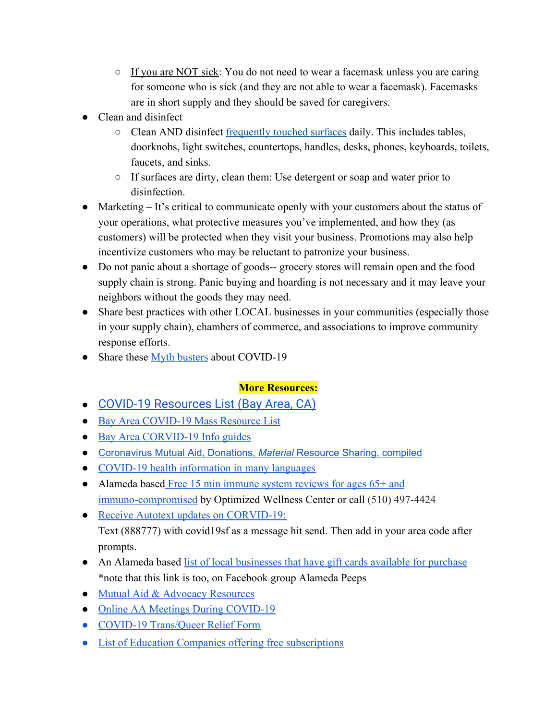- If you are NOT sick: You do not need to wear a facemask unless you are caring for someone who is sick (and they are not able to wear a facemask). Facemasks are in short supply and they should be saved for caregivers.
- Clean and disinfect
	- Clean AND disinfect [frequently touched surfaces](https://www.cdc.gov/coronavirus/2019-ncov/prepare/cleaning-disinfection.html) daily. This includes tables, doorknobs, light switches, countertops, handles, desks, phones, keyboards, toilets, faucets, and sinks.
	- If surfaces are dirty, clean them: Use detergent or soap and water prior to disinfection.
- Marketing It's critical to communicate openly with your customers about the status of your operations, what protective measures you've implemented, and how they (as customers) will be protected when they visit your business. Promotions may also help incentivize customers who may be reluctant to patronize your business.
- Do not panic about a shortage of goods-- grocery stores will remain open and the food supply chain is strong. Panic buying and hoarding is not necessary and it may leave your neighbors without the goods they may need.
- Share best practices with other LOCAL businesses in your communities (especially those in your supply chain), chambers of commerce, and associations to improve community response efforts.
- Share these [Myth busters](https://www.who.int/emergencies/diseases/novel-coronavirus-2019/advice-for-public/myth-busters) about COVID-19

## **More Resources:**

- **●** [COVID-19 Resources List \(Bay Area, CA\)](https://docs.google.com/document/d/1odtdcAX91nuxrJGtaBFA0qQ_ULnEurSPDjgaqKXfv30/edit?ts=5e700fa3#heading=h.usbu2u879x6m)
- **●** [Bay Area COVID-19 Mass Resource List](https://docs.google.com/document/d/1R9y8KLbU-oZTJheoqobmqg6TJxkwSjTkJvm6WywHURk/mobilebasic?fbclid=IwAR1Ss1VAffCCPR4jZMh87-OPBMuqz-LIW5R31cwqUwrS4lfHbcDfvhwMCQw)
- [Bay Area CORVID-19 Info guides](https://docs.google.com/document/d/1SIwgRAnzLvfwF1IYq_KT78CWPODCJOfILAMvaPL34YQ/edit#)
- [Coronavirus](https://docs.google.com/document/d/1vl5jnGjzzFuV7Our-fI1MwyK25TqM6VzkoOZr-ECqng/edit#) Mutual Aid, Donations, *[Material](https://docs.google.com/document/d/1vl5jnGjzzFuV7Our-fI1MwyK25TqM6VzkoOZr-ECqng/edit#)* [Resource](https://docs.google.com/document/d/1vl5jnGjzzFuV7Our-fI1MwyK25TqM6VzkoOZr-ECqng/edit#) Sharing, compiled
- [COVID-19 health information in many languages](https://docs.google.com/document/d/1vl5jnGjzzFuV7Our-fI1MwyK25TqM6VzkoOZr-ECqng/edit#)
- Alameda based [Free 15 min immune system reviews for ages 65+ and](https://www.optimizedwellnesscenter.com/contact-us/) [immuno-compromised](https://www.optimizedwellnesscenter.com/contact-us/) by Optimized Wellness Center or call (510) 497-4424
- **●** Receive Autotext updates on CORVID-19: Text (888777) with covid19sf as a message hit send. Then add in your area code after prompts.
- **•** An Alameda based [list of local businesses that have gift cards available for purchase](https://www.facebook.com/groups/alamedapeeps/permalink/2876246565766906/) \*note that this link is too, on Facebook group Alameda Peeps
- [Mutual Aid & Advocacy Resources](https://docs.google.com/document/d/1dpMzMzsA83jbVEXS8m7QKOtK4nj6gIUk1U1t6P4wShY/edit?fbclid=IwAR2AAxtC-PRDQc1mUmX3yNTT7wsgCLjGBbjUVpK578owu3_hecKcfAkATfE)
- **●** [Online AA Meetings During COVID-19](https://docs.google.com/document/u/0/d/1a71ccw7ihaWelksKwOp4AzAkYlVqSoKiN6Gsm38bKMU/mobilebasic)
- [COVID-19 Trans/Queer Relief Form](https://docs.google.com/forms/d/e/1FAIpQLSfO1Ws5YgKFMXKu9CSh_WUVCznssExW6bnJpom5JsP24XwCLQ/viewform)
- [List of Education Companies offering free subscriptions](https://kidsactivitiesblog.com/135609/list-of-education-companies-offering-free-subscriptions/?fbclid=IwAR06F8ZacSVXtpYeS8TmNzZGTg7fqy9Mnf5eMTNrl6gt7AHBLdDgIjVg6fA)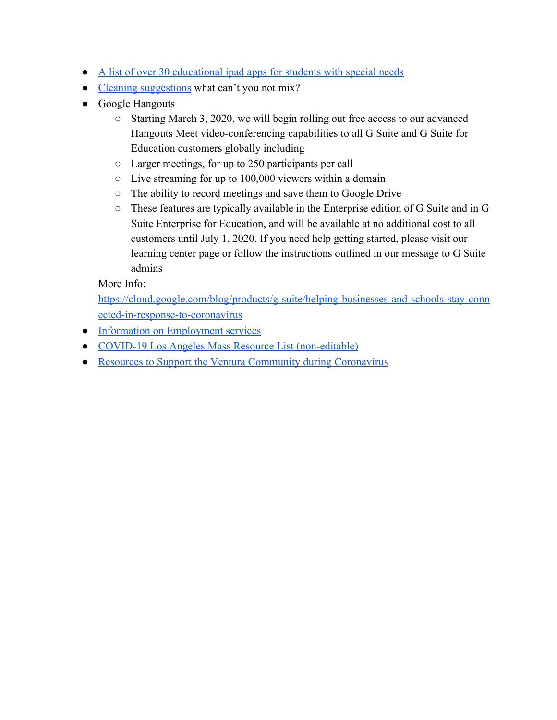- **●** [A list of over 30 educational ipad apps for students with special needs](https://www.educatorstechnology.com/2016/01/a-handy-chart-featuring-over-30-ipad.html?fbclid=IwAR3028C-vZrMplQx3H8tL0Rrrt6fTYIC1P1Tzr2x4YXxcdx5w7SjXw4zEWM)
- **●** [Cleaning suggestions](https://i.redd.it/8nn1wybcoxm41.jpg) what can't you not mix?
- Google Hangouts
	- Starting March 3, 2020, we will begin rolling out free access to our advanced Hangouts Meet video-conferencing capabilities to all G Suite and G Suite for Education customers globally including
	- Larger meetings, for up to 250 participants per call
	- Live streaming for up to 100,000 viewers within a domain
	- The ability to record meetings and save them to Google Drive
	- These features are typically available in the Enterprise edition of G Suite and in G Suite Enterprise for Education, and will be available at no additional cost to all customers until July 1, 2020. If you need help getting started, please visit our learning center page or follow the instructions outlined in our message to G Suite admins

More Info:

[https://cloud.google.com/blog/products/g-suite/helping-businesses-and-schools-stay-conn](https://cloud.google.com/blog/products/g-suite/helping-businesses-and-schools-stay-connected-in-response-to-coronavirus) [ected-in-response-to-coronavirus](https://cloud.google.com/blog/products/g-suite/helping-businesses-and-schools-stay-connected-in-response-to-coronavirus)

- [Information on Employment services](#page-14-0)
- [COVID-19 Los Angeles Mass Resource List \(non-editable\)](https://docs.google.com/document/d/1S-WJaMa4q3yNrEBfSFKEdSQArcNc_MTI2LiUA63Ycyg/edit?fbclid=IwAR0JP4FVa5rlgwNZgAKS7ynswpNdz3D1E7Lg8zxNJipmI1OeHTK1WaDb7bY)
- [Resources to Support the Ventura Community during Coronavirus](https://www.ventura.org/departments/hsa/community-events/coronavirus-remote-resources/remote-resources-during-coronavirus/?fbclid=IwAR3mLPKsFWxZvvkshZgbxDsOejVcPJW-OkOxloz97oHe7zaXO1_pTA3zy9k)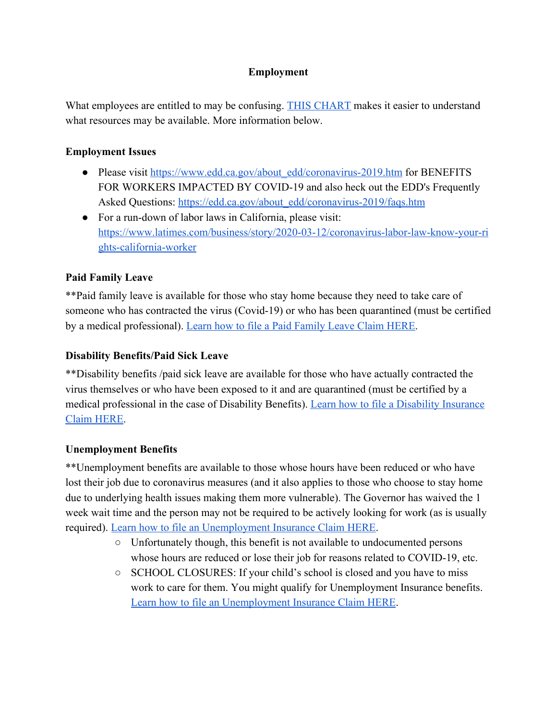## <span id="page-14-0"></span>**Employment**

What employees are entitled to may be confusing. [THIS CHART](https://www.labor.ca.gov/coronavirus2019/#chart) makes it easier to understand what resources may be available. More information below.

### **Employment Issues**

- Please visit [https://www.edd.ca.gov/about\\_edd/coronavirus-2019.htm](https://www.edd.ca.gov/about_edd/coronavirus-2019.htm) for BENEFITS FOR WORKERS IMPACTED BY COVID-19 and also heck out the EDD's Frequently Asked Questions: [https://edd.ca.gov/about\\_edd/coronavirus-2019/faqs.htm](https://edd.ca.gov/about_edd/coronavirus-2019/faqs.htm)
- For a run-down of labor laws in California, please visit: [https://www.latimes.com/business/story/2020-03-12/coronavirus-labor-law-know-your-ri](https://www.latimes.com/business/story/2020-03-12/coronavirus-labor-law-know-your-rights-california-worker?fbclid=IwAR2BQXmV_NhVf-y4CcGwkSSl4DlmTOBokgBSXSbDDIk-l4i9bBt5zb8BESU) [ghts-california-worker](https://www.latimes.com/business/story/2020-03-12/coronavirus-labor-law-know-your-rights-california-worker?fbclid=IwAR2BQXmV_NhVf-y4CcGwkSSl4DlmTOBokgBSXSbDDIk-l4i9bBt5zb8BESU)

## **Paid Family Leave**

\*\*Paid family leave is available for those who stay home because they need to take care of someone who has contracted the virus (Covid-19) or who has been quarantined (must be certified by a medical professional). [Learn how to file a Paid Family Leave Claim HERE.](https://edd.ca.gov/Disability/How_to_File_a_PFL_Claim_in_SDI_Online.htm)

### **Disability Benefits/Paid Sick Leave**

\*\*Disability benefits /paid sick leave are available for those who have actually contracted the virus themselves or who have been exposed to it and are quarantined (must be certified by a medical professional in the case of Disability Benefits). [Learn how to file a Disability Insurance](https://edd.ca.gov/Disability/How_to_File_a_DI_Claim_in_SDI_Online.htm) [Claim HERE.](https://edd.ca.gov/Disability/How_to_File_a_DI_Claim_in_SDI_Online.htm)

#### **Unemployment Benefits**

\*\*Unemployment benefits are available to those whose hours have been reduced or who have lost their job due to coronavirus measures (and it also applies to those who choose to stay home due to underlying health issues making them more vulnerable). The Governor has waived the 1 week wait time and the person may not be required to be actively looking for work (as is usually required). [Learn how to file an Unemployment Insurance Claim HERE](https://edd.ca.gov/Unemployment/Filing_a_Claim.htm).

- Unfortunately though, this benefit is not available to undocumented persons whose hours are reduced or lose their job for reasons related to COVID-19, etc.
- SCHOOL CLOSURES: If your child's school is closed and you have to miss work to care for them. You might qualify for Unemployment Insurance benefits. [Learn how to file an Unemployment Insurance Claim HERE](https://edd.ca.gov/Unemployment/Filing_a_Claim.htm).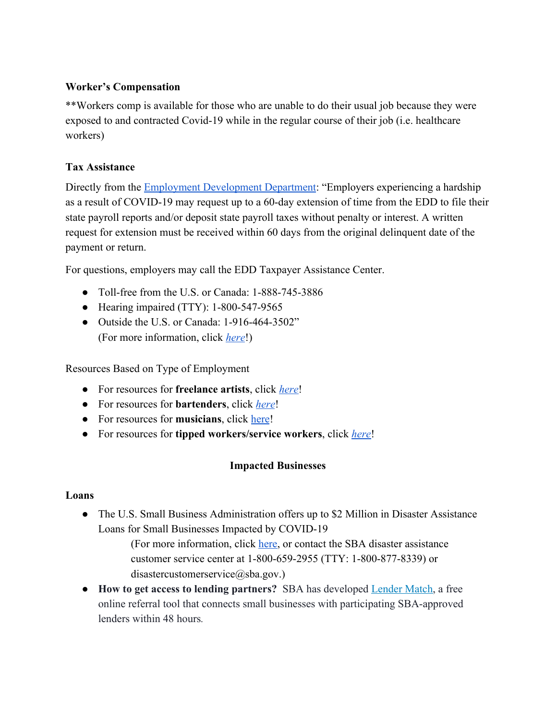#### **Worker's Compensation**

\*\*Workers comp is available for those who are unable to do their usual job because they were exposed to and contracted Covid-19 while in the regular course of their job (i.e. healthcare workers)

## **Tax Assistance**

Directly from the **Employment Development Department**: "Employers experiencing a hardship as a result of COVID-19 may request up to a 60-day extension of time from the EDD to file their state payroll reports and/or deposit state payroll taxes without penalty or interest. A written request for extension must be received within 60 days from the original delinquent date of the payment or return.

For questions, employers may call the EDD Taxpayer Assistance Center.

- Toll-free from the U.S. or Canada: 1-888-745-3886
- Hearing impaired (TTY): 1-800-547-9565
- Outside the U.S. or Canada: 1-916-464-3502" (For more information, click *[here](https://edd.ca.gov/about_edd/coronavirus-2019.htm?fbclid=IwAR3vS9NqAlxiZJtKT21dJSoMSvV-klMlSK2nvPGzA2v8FHeglkS4YKrLh78)*!)

Resources Based on Type of Employment

- For resources for **freelance artists**, click *[here](https://covid19freelanceartistresource.wordpress.com/?fbclid=IwAR2h6cN5HPapOjYZoLocJ7ydEEx34_0Hy_Bp2K_jblFmSKUQ1uNM3j1X3Cs)*!
- For resources for **bartenders**, click *[here](https://www.usbgfoundation.org/beap?fbclid=IwAR3dQlMeJsntGhpWvUi3rWUnkHWQCIL97gG9yqQdG9degTQ_Yxr6YkCqL7I)*!
- For resources for **musicians**, click [here](https://www.americansforthearts.org/by-topic/disaster-preparedness/coronavirus-covid-19-resource-and-response-center)!
- For resources for **tipped workers/service workers**, click *[here](https://ofwemergencyfund.org/help)*!

#### **Impacted Businesses**

#### **Loans**

• The U.S. Small Business Administration offers up to \$2 Million in Disaster Assistance Loans for Small Businesses Impacted by COVID-19

> (For more information, click [here,](https://laedc.org/coronavirus/?fbclid=IwAR0TTZDjUWl53O7iftlGKU7BiGsj88MR8sWQ9hrGjSwBisr45TAIhchOj6k) or contact the SBA disaster assistance customer service center at 1-800-659-2955 (TTY: 1-800-877-8339) or disastercustomerservice@sba.gov.)

● **How to get access to lending partners?** SBA has developed [Lender Match,](https://www.sba.gov/funding-programs/loans/lender-match) a free online referral tool that connects small businesses with participating SBA-approved lenders within 48 hours*.*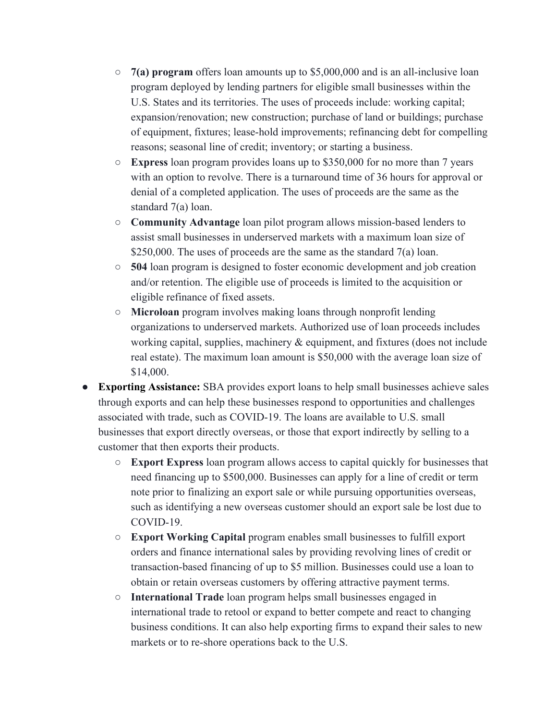- **7(a) program** offers loan amounts up to \$5,000,000 and is an all-inclusive loan program deployed by lending partners for eligible small businesses within the U.S. States and its territories. The uses of proceeds include: working capital; expansion/renovation; new construction; purchase of land or buildings; purchase of equipment, fixtures; lease-hold improvements; refinancing debt for compelling reasons; seasonal line of credit; inventory; or starting a business.
- **Express** loan program provides loans up to \$350,000 for no more than 7 years with an option to revolve. There is a turnaround time of 36 hours for approval or denial of a completed application. The uses of proceeds are the same as the standard 7(a) loan.
- **Community Advantage** loan pilot program allows mission-based lenders to assist small businesses in underserved markets with a maximum loan size of \$250,000. The uses of proceeds are the same as the standard 7(a) loan.
- **504** loan program is designed to foster economic development and job creation and/or retention. The eligible use of proceeds is limited to the acquisition or eligible refinance of fixed assets.
- **Microloan** program involves making loans through nonprofit lending organizations to underserved markets. Authorized use of loan proceeds includes working capital, supplies, machinery  $\&$  equipment, and fixtures (does not include real estate). The maximum loan amount is \$50,000 with the average loan size of \$14,000.
- **Exporting Assistance:** SBA provides export loans to help small businesses achieve sales through exports and can help these businesses respond to opportunities and challenges associated with trade, such as COVID-19. The loans are available to U.S. small businesses that export directly overseas, or those that export indirectly by selling to a customer that then exports their products.
	- **Export Express** loan program allows access to capital quickly for businesses that need financing up to \$500,000. Businesses can apply for a line of credit or term note prior to finalizing an export sale or while pursuing opportunities overseas, such as identifying a new overseas customer should an export sale be lost due to COVID-19.
	- **Export Working Capital** program enables small businesses to fulfill export orders and finance international sales by providing revolving lines of credit or transaction-based financing of up to \$5 million. Businesses could use a loan to obtain or retain overseas customers by offering attractive payment terms.
	- **International Trade** loan program helps small businesses engaged in international trade to retool or expand to better compete and react to changing business conditions. It can also help exporting firms to expand their sales to new markets or to re-shore operations back to the U.S.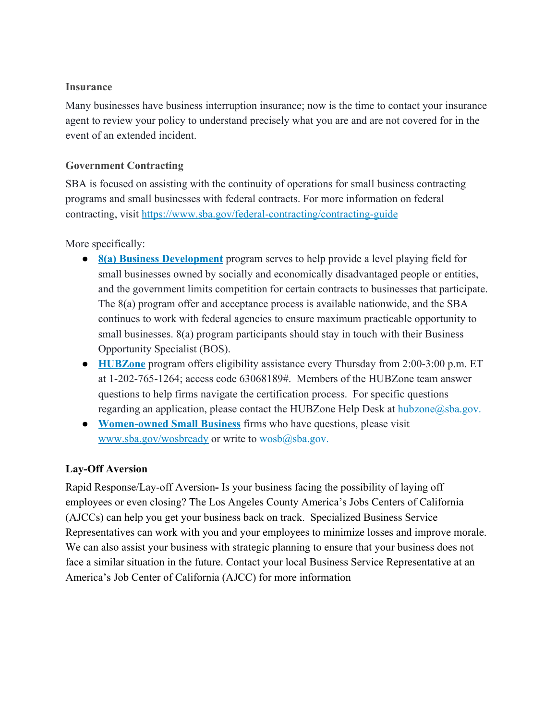#### **Insurance**

Many businesses have business interruption insurance; now is the time to contact your insurance agent to review your policy to understand precisely what you are and are not covered for in the event of an extended incident.

## **Government Contracting**

SBA is focused on assisting with the continuity of operations for small business contracting programs and small businesses with federal contracts. For more information on federal contracting, visit <https://www.sba.gov/federal-contracting/contracting-guide>

More specifically:

- **[8\(a\) Business Development](https://www.sba.gov/federal-contracting/contracting-assistance-programs/8a-business-development-program)** program serves to help provide a level playing field for small businesses owned by socially and economically disadvantaged people or entities, and the government limits competition for certain contracts to businesses that participate. The 8(a) program offer and acceptance process is available nationwide, and the SBA continues to work with federal agencies to ensure maximum practicable opportunity to small businesses. 8(a) program participants should stay in touch with their Business Opportunity Specialist (BOS).
- **[HUBZone](https://www.sba.gov/federal-contracting/contracting-assistance-programs/hubzone-program)** program offers eligibility assistance every Thursday from 2:00-3:00 p.m. ET at 1-202-765-1264; access code 63068189#. Members of the HUBZone team answer questions to help firms navigate the certification process. For specific questions regarding an application, please contact the HUBZone Help Desk at hubzone@sba.gov.
- **[Women-owned Small Business](https://www.sba.gov/federal-contracting/contracting-assistance-programs/women-owned-small-business-federal-contracting-program)** firms who have questions, please visit [www.sba.gov/wosbready](http://www.sba.gov/wosbready) or write to  $wosh(a)$ sba.gov.

#### **Lay-Off Aversion**

Rapid Response/Lay-off Aversion**-** Is your business facing the possibility of laying off employees or even closing? The Los Angeles County America's Jobs Centers of California (AJCCs) can help you get your business back on track. Specialized Business Service Representatives can work with you and your employees to minimize losses and improve morale. We can also assist your business with strategic planning to ensure that your business does not face a similar situation in the future. Contact your local Business Service Representative at an America's Job Center of California (AJCC) for more information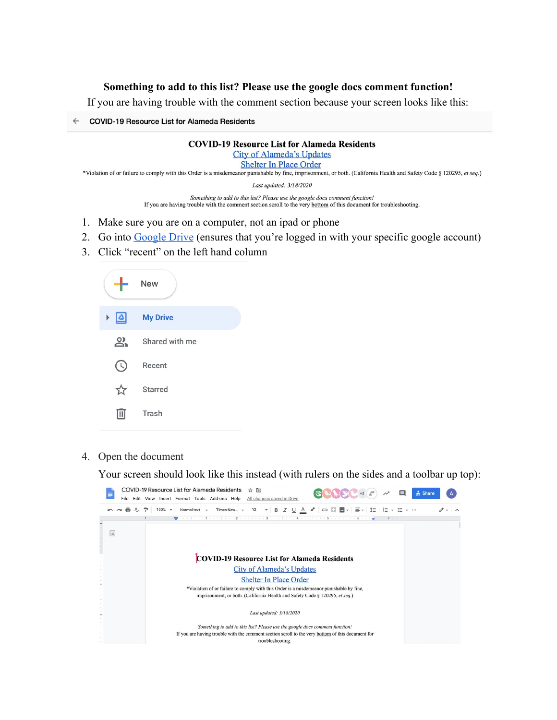#### **Something to add to this list? Please use the google docs comment function!**

If you are having trouble with the comment section because your screen looks like this:

← COVID-19 Resource List for Alameda Residents

#### **COVID-19 Resource List for Alameda Residents**

**City of Alameda's Updates** 

**Shelter In Place Order** 

\*Violation of or failure to comply with this Order is a misdemeanor punishable by fine, imprisonment, or both. (California Health and Safety Code § 120295, et seq.)

Last updated: 3/18/2020

Something to add to this list? Please use the google docs comment function! If you are having trouble with the comment section scroll to the very bottom of this document for troubleshooting.

- 1. Make sure you are on a computer, not an ipad or phone
- 2. Go into [Google Drive](https://drive.google.com/drive/u/0/my-drive) (ensures that you're logged in with your specific google account)
- 3. Click "recent" on the left hand column

|                       | <b>New</b>      |
|-----------------------|-----------------|
| $\boxed{\Delta}$<br>Þ | <b>My Drive</b> |
| <u>ని</u>             | Shared with me  |
| $\cup$                | Recent          |
|                       | Starred         |
|                       | Trash           |

4. Open the document

Your screen should look like this instead (with rulers on the sides and a toolbar up top):